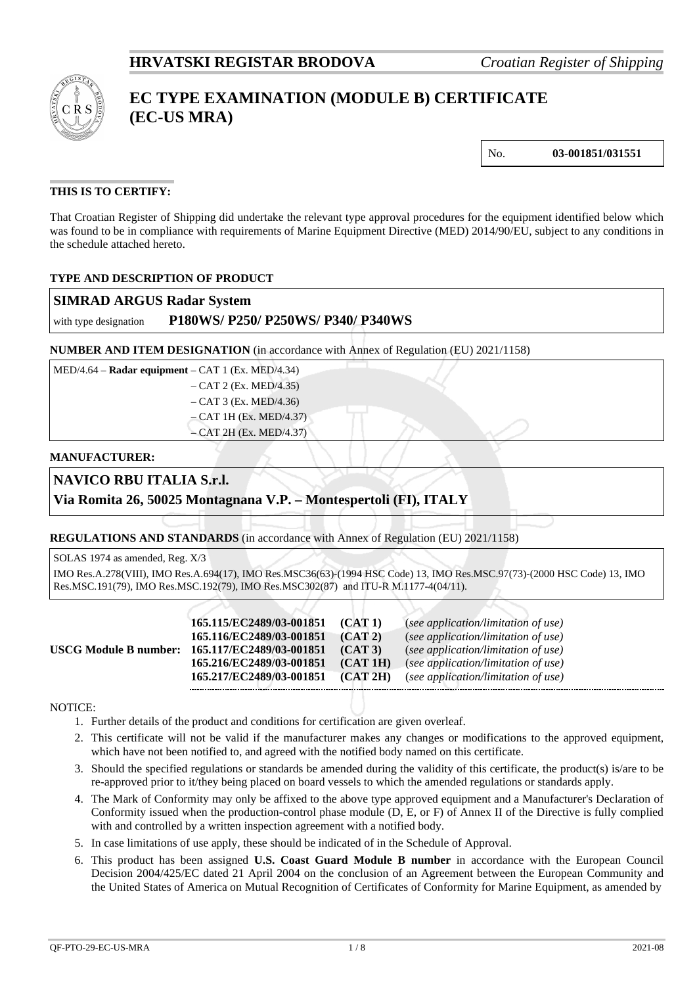

# **EC TYPE EXAMINATION (MODULE B) CERTIFICATE (EC-US MRA)**

No. **03-001851/031551**

### **THIS IS TO CERTIFY:**

That Croatian Register of Shipping did undertake the relevant type approval procedures for the equipment identified below which was found to be in compliance with requirements of Marine Equipment Directive (MED) 2014/90/EU, subject to any conditions in the schedule attached hereto.

### **TYPE AND DESCRIPTION OF PRODUCT**

| <b>SIMRAD ARGUS Radar System</b> |  |  |
|----------------------------------|--|--|
|----------------------------------|--|--|

### with type designation **P180WS/ P250/ P250WS/ P340/ P340WS**

**NUMBER AND ITEM DESIGNATION** (in accordance with Annex of Regulation (EU) 2021/1158)

| $MED/4.64 - Radar equipment - CAT 1 (Ex. MED/4.34)$ |
|-----------------------------------------------------|
| $-$ CAT 2 (Ex. MED/4.35)                            |
| $-$ CAT 3 (Ex. MED/4.36)                            |
| $-$ CAT 1H (Ex. MED/4.37)                           |
| $-$ CAT 2H (Ex. MED/4.37)                           |

#### **MANUFACTURER:**

## **NAVICO RBU ITALIA S.r.l.**

### **Via Romita 26, 50025 Montagnana V.P. – Montespertoli (FI), ITALY**

**REGULATIONS AND STANDARDS** (in accordance with Annex of Regulation (EU) 2021/1158)

SOLAS 1974 as amended, Reg. X/3 IMO Res.A.278(VIII), IMO Res.A.694(17), IMO Res.MSC36(63)-(1994 HSC Code) 13, IMO Res.MSC.97(73)-(2000 HSC Code) 13, IMO Res.MSC.191(79), IMO Res.MSC.192(79), IMO Res.MSC302(87) and ITU-R M.1177-4(04/11).

|                         | 165.115/EC2489/03-001851 | (CAT1)   | (see application/limitation of use) |
|-------------------------|--------------------------|----------|-------------------------------------|
|                         | 165.116/EC2489/03-001851 | (CAT2)   | (see application/limitation of use) |
| USCG Module B number: ) | 165.117/EC2489/03-001851 | (CAT3)   | (see application/limitation of use) |
|                         | 165.216/EC2489/03-001851 | (CAT1H)  | (see application/limitation of use) |
|                         | 165.217/EC2489/03-001851 | (CAT 2H) | (see application/limitation of use) |
|                         |                          |          |                                     |

#### NOTICE:

- 1. Further details of the product and conditions for certification are given overleaf.
- 2. This certificate will not be valid if the manufacturer makes any changes or modifications to the approved equipment, which have not been notified to, and agreed with the notified body named on this certificate.
- 3. Should the specified regulations or standards be amended during the validity of this certificate, the product(s) is/are to be re-approved prior to it/they being placed on board vessels to which the amended regulations or standards apply.
- 4. The Mark of Conformity may only be affixed to the above type approved equipment and a Manufacturer's Declaration of Conformity issued when the production-control phase module (D, E, or F) of Annex II of the Directive is fully complied with and controlled by a written inspection agreement with a notified body.
- 5. In case limitations of use apply, these should be indicated of in the Schedule of Approval.
- 6. This product has been assigned **U.S. Coast Guard Module B number** in accordance with the European Council Decision 2004/425/EC dated 21 April 2004 on the conclusion of an Agreement between the European Community and the United States of America on Mutual Recognition of Certificates of Conformity for Marine Equipment, as amended by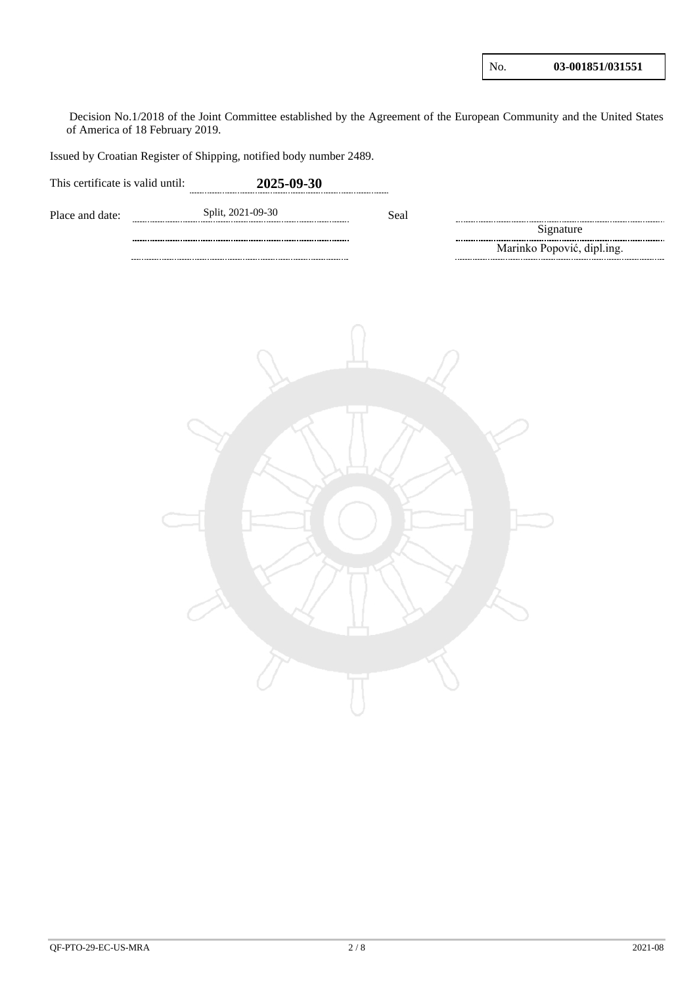$\mathbf{I}$ 

Decision No.1/2018 of the Joint Committee established by the Agreement of the European Community and the United States of America of 18 February 2019.

Issued by Croatian Register of Shipping, notified body number 2489.

| This certificate is valid until: | 2025-09-30        |      |                            |
|----------------------------------|-------------------|------|----------------------------|
| Place and date:                  | Split, 2021-09-30 | Seal |                            |
|                                  |                   |      | Signature                  |
|                                  |                   |      | Marinko Popović, dipl.ing. |
|                                  |                   |      |                            |
|                                  |                   |      |                            |
|                                  |                   |      |                            |
|                                  |                   |      |                            |
|                                  |                   |      |                            |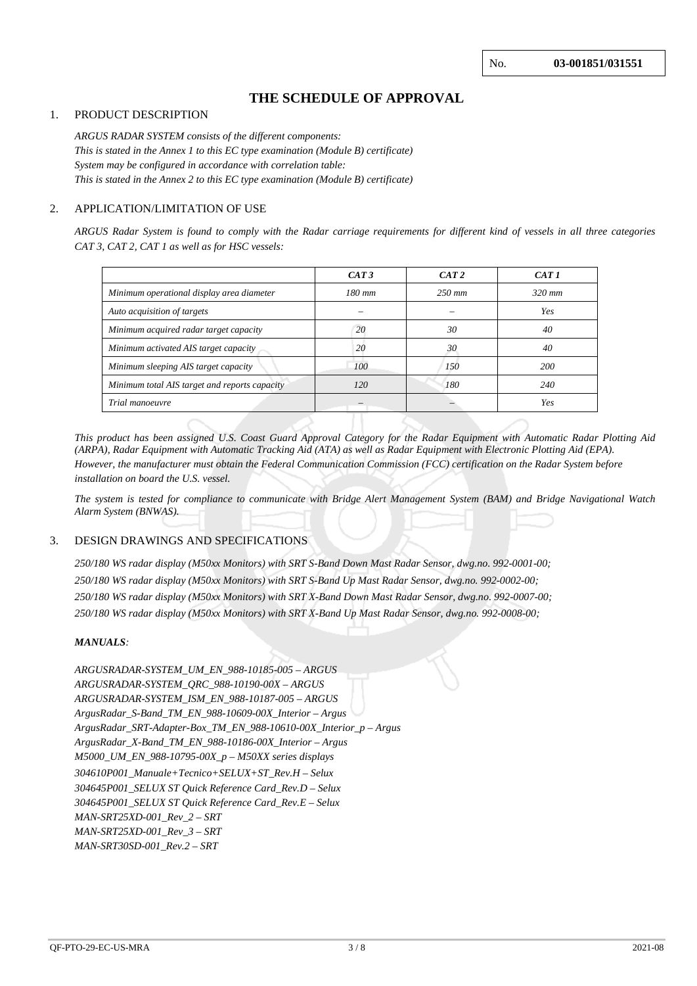# **THE SCHEDULE OF APPROVAL**

#### 1. PRODUCT DESCRIPTION

*ARGUS RADAR SYSTEM consists of the different components: This is stated in the Annex 1 to this EC type examination (Module B) certificate) System may be configured in accordance with correlation table: This is stated in the Annex 2 to this EC type examination (Module B) certificate)* 

#### 2. APPLICATION/LIMITATION OF USE

*ARGUS Radar System is found to comply with the Radar carriage requirements for different kind of vessels in all three categories CAT 3, CAT 2, CAT 1 as well as for HSC vessels:*

|                                               | CAT3     | CAT2     | CAT 1      |
|-----------------------------------------------|----------|----------|------------|
| Minimum operational display area diameter     | $180$ mm | $250$ mm | $320$ mm   |
| Auto acquisition of targets                   |          |          | Yes        |
| Minimum acquired radar target capacity        | 20       | 30       | 40         |
| Minimum activated AIS target capacity         | 20       | 30       | 40         |
| Minimum sleeping AIS target capacity          | 100      | 150      | <b>200</b> |
| Minimum total AIS target and reports capacity | 120      | 180      | 240        |
| Trial manoeuvre                               |          |          | Yes        |
|                                               |          |          |            |

*This product has been assigned U.S. Coast Guard Approval Category for the Radar Equipment with Automatic Radar Plotting Aid (ARPA), Radar Equipment with Automatic Tracking Aid (ATA) as well as Radar Equipment with Electronic Plotting Aid (EPA). However, the manufacturer must obtain the Federal Communication Commission (FCC) certification on the Radar System before installation on board the U.S. vessel.*

*The system is tested for compliance to communicate with Bridge Alert Management System (BAM) and Bridge Navigational Watch Alarm System (BNWAS).*

#### 3. DESIGN DRAWINGS AND SPECIFICATIONS

*250/180 WS radar display (M50xx Monitors) with SRT S-Band Down Mast Radar Sensor, dwg.no. 992-0001-00; 250/180 WS radar display (M50xx Monitors) with SRT S-Band Up Mast Radar Sensor, dwg.no. 992-0002-00; 250/180 WS radar display (M50xx Monitors) with SRT X-Band Down Mast Radar Sensor, dwg.no. 992-0007-00; 250/180 WS radar display (M50xx Monitors) with SRT X-Band Up Mast Radar Sensor, dwg.no. 992-0008-00;*

#### *MANUALS:*

*ARGUSRADAR-SYSTEM\_UM\_EN\_988-10185-005 – ARGUS ARGUSRADAR-SYSTEM\_QRC\_988-10190-00X – ARGUS ARGUSRADAR-SYSTEM\_ISM\_EN\_988-10187-005 – ARGUS ArgusRadar\_S-Band\_TM\_EN\_988-10609-00X\_Interior – Argus ArgusRadar\_SRT-Adapter-Box\_TM\_EN\_988-10610-00X\_Interior\_p – Argus ArgusRadar\_X-Band\_TM\_EN\_988-10186-00X\_Interior – Argus M5000\_UM\_EN\_988-10795-00X\_p – M50XX series displays 304610P001\_Manuale+Tecnico+SELUX+ST\_Rev.H – Selux 304645P001\_SELUX ST Quick Reference Card\_Rev.D – Selux 304645P001\_SELUX ST Quick Reference Card\_Rev.E – Selux MAN-SRT25XD-001\_Rev\_2 – SRT MAN-SRT25XD-001\_Rev\_3 – SRT MAN-SRT30SD-001\_Rev.2 – SRT*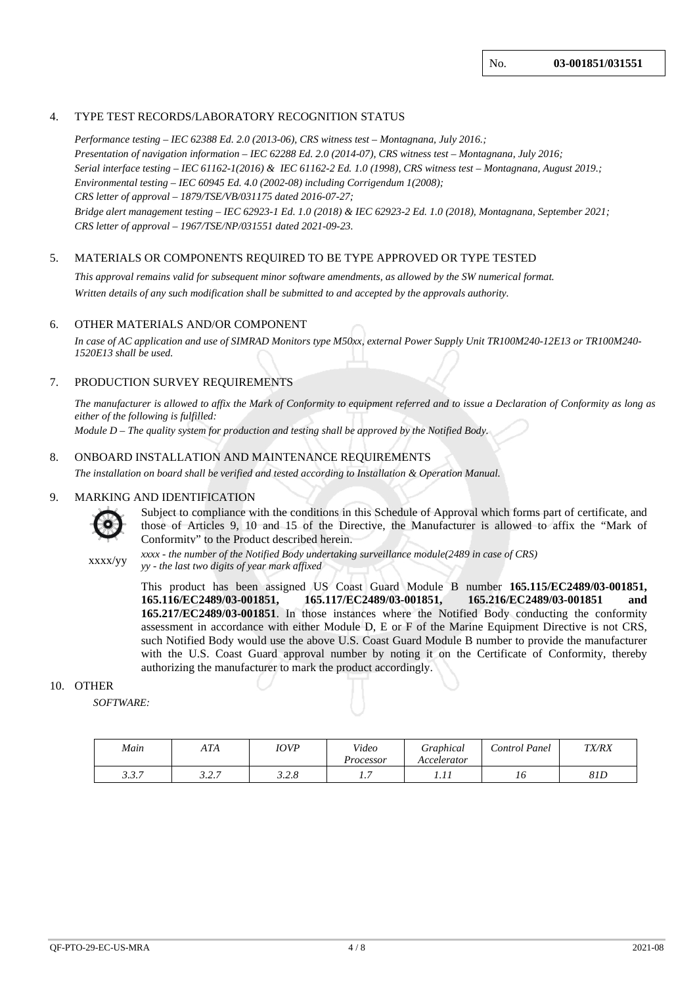#### 4. TYPE TEST RECORDS/LABORATORY RECOGNITION STATUS

*Performance testing – IEC 62388 Ed. 2.0 (2013-06), CRS witness test – Montagnana, July 2016.; Presentation of navigation information – IEC 62288 Ed. 2.0 (2014-07), CRS witness test – Montagnana, July 2016; Serial interface testing – IEC 61162-1(2016) & IEC 61162-2 Ed. 1.0 (1998), CRS witness test – Montagnana, August 2019.; Environmental testing – IEC 60945 Ed. 4.0 (2002-08) including Corrigendum 1(2008); CRS letter of approval – 1879/TSE/VB/031175 dated 2016-07-27; Bridge alert management testing – IEC 62923-1 Ed. 1.0 (2018) & IEC 62923-2 Ed. 1.0 (2018), Montagnana, September 2021; CRS letter of approval – 1967/TSE/NP/031551 dated 2021-09-23.*

#### 5. MATERIALS OR COMPONENTS REQUIRED TO BE TYPE APPROVED OR TYPE TESTED

*This approval remains valid for subsequent minor software amendments, as allowed by the SW numerical format. Written details of any such modification shall be submitted to and accepted by the approvals authority.*

#### 6. OTHER MATERIALS AND/OR COMPONENT

*In case of AC application and use of SIMRAD Monitors type M50xx, external Power Supply Unit TR100M240-12E13 or TR100M240- 1520E13 shall be used.*

#### 7. PRODUCTION SURVEY REQUIREMENTS

*The manufacturer is allowed to affix the Mark of Conformity to equipment referred and to issue a Declaration of Conformity as long as either of the following is fulfilled:*

*Module D – The quality system for production and testing shall be approved by the Notified Body.*

#### 8. ONBOARD INSTALLATION AND MAINTENANCE REQUIREMENTS

*The installation on board shall be verified and tested according to Installation & Operation Manual.*

#### 9. MARKING AND IDENTIFICATION



Subject to compliance with the conditions in this Schedule of Approval which forms part of certificate, and those of Articles 9, 10 and 15 of the Directive, the Manufacturer is allowed to affix the "Mark of Conformity" to the Product described herein.

xxxx/yy *xxxx - the number of the Notified Body undertaking surveillance module(2489 in case of CRS) yy - the last two digits of year mark affixed*

> This product has been assigned US Coast Guard Module B number **165.115/EC2489/03-001851, 165.116/EC2489/03-001851, 165.117/EC2489/03-001851, 165.216/EC2489/03-001851 and 165.217/EC2489/03-001851**. In those instances where the Notified Body conducting the conformity assessment in accordance with either Module D, E or F of the Marine Equipment Directive is not CRS, such Notified Body would use the above U.S. Coast Guard Module B number to provide the manufacturer with the U.S. Coast Guard approval number by noting it on the Certificate of Conformity, thereby authorizing the manufacturer to mark the product accordingly.

#### 10. OTHER

 *SOFTWARE:*

| Main           | ATA                              | <i>IOVP</i>    | Video<br>Processor | Graphical<br>Accelerator | Control Panel | <b>TX/RX</b> |
|----------------|----------------------------------|----------------|--------------------|--------------------------|---------------|--------------|
| 227<br>J. J. I | $\cdot$ $\sim$ $\sim$<br>ن مدد ب | າ າ ດ<br>J.4.0 | -<br>.             | .                        | 10            | 81D          |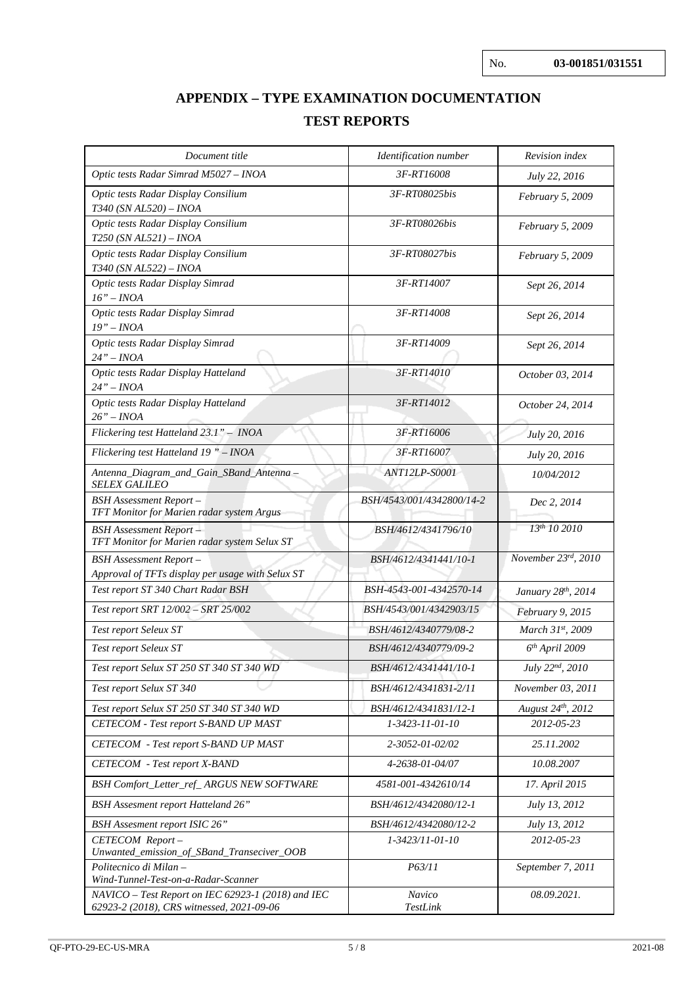# **APPENDIX – TYPE EXAMINATION DOCUMENTATION TEST REPORTS**

| Document title                                                                                  | Identification number     | Revision index       |
|-------------------------------------------------------------------------------------------------|---------------------------|----------------------|
| Optic tests Radar Simrad M5027 - INOA                                                           | 3F-RT16008                | July 22, 2016        |
| Optic tests Radar Display Consilium<br>T340 (SN AL520) - INOA                                   | 3F-RT08025bis             | February 5, 2009     |
| Optic tests Radar Display Consilium<br>T250 (SN AL521) - INOA                                   | 3F-RT08026bis             | February 5, 2009     |
| Optic tests Radar Display Consilium<br>T340 (SN AL522) - INOA                                   | 3F-RT08027bis             | February 5, 2009     |
| Optic tests Radar Display Simrad<br>16" – INOA                                                  | 3F-RT14007                | Sept 26, 2014        |
| Optic tests Radar Display Simrad<br>$19" - INOA$                                                | 3F-RT14008                | Sept 26, 2014        |
| Optic tests Radar Display Simrad<br>$24" - INOA$                                                | 3F-RT14009                | Sept 26, 2014        |
| Optic tests Radar Display Hatteland<br>$24" - INOA$                                             | 3F-RT14010                | October 03, 2014     |
| Optic tests Radar Display Hatteland<br>$26" - INOA$                                             | 3F-RT14012                | October 24, 2014     |
| Flickering test Hatteland 23.1" - INOA                                                          | 3F-RT16006                | July 20, 2016        |
| Flickering test Hatteland 19" - INOA                                                            | 3F-RT16007                | <i>July 20, 2016</i> |
| Antenna_Diagram_and_Gain_SBand_Antenna -<br><b>SELEX GALILEO</b>                                | ANT12LP-S0001             | 10/04/2012           |
| <b>BSH</b> Assessment Report-<br>TFT Monitor for Marien radar system Argus                      | BSH/4543/001/4342800/14-2 | Dec 2, 2014          |
| <b>BSH</b> Assessment Report-<br>TFT Monitor for Marien radar system Selux ST                   | BSH/4612/4341796/10       | 13th 10 2010         |
| <b>BSH</b> Assessment Report-<br>Approval of TFTs display per usage with Selux ST               | BSH/4612/4341441/10-1     | November 23rd, 2010  |
| Test report ST 340 Chart Radar BSH                                                              | BSH-4543-001-4342570-14   | January 28th, 2014   |
| Test report SRT 12/002 - SRT 25/002                                                             | BSH/4543/001/4342903/15   | February 9, 2015     |
| Test report Seleux ST                                                                           | BSH/4612/4340779/08-2     | March 31st, 2009     |
| Test report Seleux ST                                                                           | BSH/4612/4340779/09-2     | $6th$ April 2009     |
| Test report Selux ST 250 ST 340 ST 340 WD                                                       | BSH/4612/4341441/10-1     | July 22nd, 2010      |
| Test report Selux ST 340                                                                        | BSH/4612/4341831-2/11     | November 03, 2011    |
| Test report Selux ST 250 ST 340 ST 340 WD                                                       | BSH/4612/4341831/12-1     | August 24th, 2012    |
| CETECOM - Test report S-BAND UP MAST                                                            | 1-3423-11-01-10           | 2012-05-23           |
| <b>CETECOM</b> - Test report S-BAND UP MAST                                                     | 2-3052-01-02/02           | 25.11.2002           |
| <b>CETECOM</b> - Test report X-BAND                                                             | 4-2638-01-04/07           | 10.08.2007           |
| BSH Comfort_Letter_ref_ARGUS NEW SOFTWARE                                                       | 4581-001-4342610/14       | 17. April 2015       |
| <b>BSH</b> Assesment report Hatteland 26"                                                       | BSH/4612/4342080/12-1     | <i>July 13, 2012</i> |
| <b>BSH</b> Assesment report ISIC 26"                                                            | BSH/4612/4342080/12-2     | <i>July 13, 2012</i> |
| CETECOM Report-<br>Unwanted_emission_of_SBand_Transeciver_OOB                                   | 1-3423/11-01-10           | 2012-05-23           |
| Politecnico di Milan -<br>Wind-Tunnel-Test-on-a-Radar-Scanner                                   | P63/11                    | September 7, 2011    |
| NAVICO - Test Report on IEC 62923-1 (2018) and IEC<br>62923-2 (2018), CRS witnessed, 2021-09-06 | Navico<br>TestLink        | 08.09.2021.          |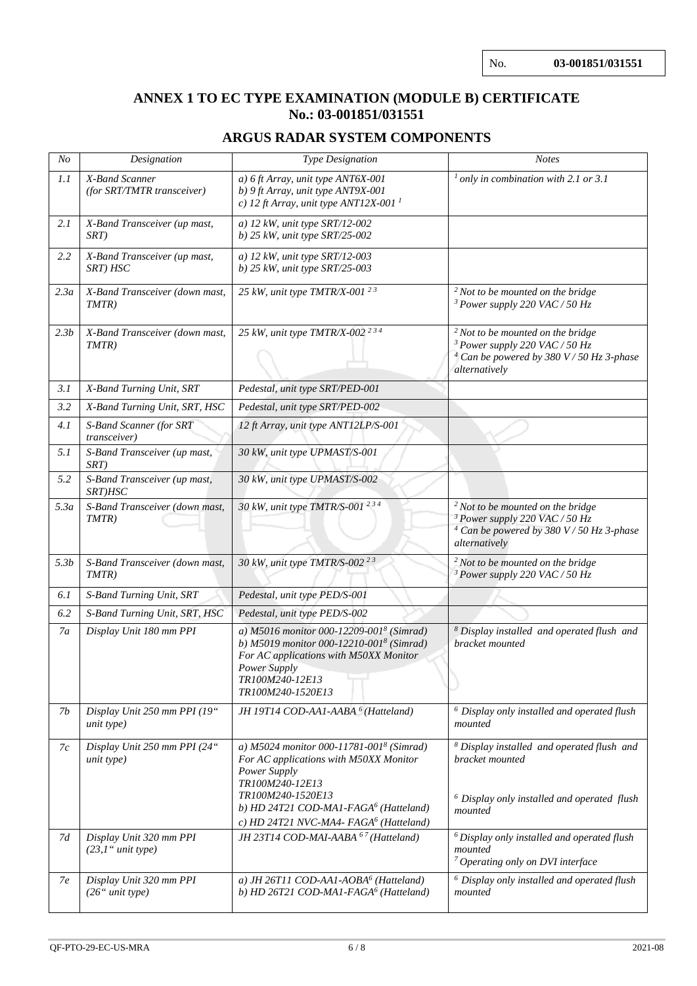# **ANNEX 1 TO EC TYPE EXAMINATION (MODULE B) CERTIFICATE No.: 03-001851/031551**

# **ARGUS RADAR SYSTEM COMPONENTS**

| N <sub>O</sub>   | Type Designation<br>Designation                  |                                                                                                                                                                                                                                                       | <b>Notes</b>                                                                                                                                              |  |  |  |  |  |  |
|------------------|--------------------------------------------------|-------------------------------------------------------------------------------------------------------------------------------------------------------------------------------------------------------------------------------------------------------|-----------------------------------------------------------------------------------------------------------------------------------------------------------|--|--|--|--|--|--|
| 1.1              | X-Band Scanner<br>(for SRT/TMTR transceiver)     | a) 6 ft Array, unit type ANT6X-001<br>b) 9 ft Array, unit type ANT9X-001<br>c) 12 ft Array, unit type ANT12X-001 <sup>1</sup>                                                                                                                         | $1$ only in combination with 2.1 or 3.1                                                                                                                   |  |  |  |  |  |  |
| 2.1              | X-Band Transceiver (up mast,<br>SRT)             | a) 12 kW, unit type $SRT/12$ -002<br>b) 25 kW, unit type $SRT/25-002$                                                                                                                                                                                 |                                                                                                                                                           |  |  |  |  |  |  |
| 2.2              | X-Band Transceiver (up mast,<br>SRT) HSC         | a) 12 kW, unit type $SRT/12$ -003<br>b) 25 kW, unit type SRT/25-003                                                                                                                                                                                   |                                                                                                                                                           |  |  |  |  |  |  |
| 2.3a             | X-Band Transceiver (down mast,<br>TMTR)          | 25 kW, unit type TMTR/X-001 <sup>23</sup>                                                                                                                                                                                                             | $2$ Not to be mounted on the bridge<br><sup>3</sup> Power supply 220 VAC / 50 Hz                                                                          |  |  |  |  |  |  |
| 2.3 <sub>b</sub> | X-Band Transceiver (down mast,<br>TMTR)          | 25 kW, unit type TMTR/X-002 <sup>234</sup>                                                                                                                                                                                                            | $2$ Not to be mounted on the bridge<br><sup>3</sup> Power supply 220 VAC / 50 Hz<br>$4$ Can be powered by 380 V / 50 Hz 3-phase<br>alternatively          |  |  |  |  |  |  |
| 3.1              | X-Band Turning Unit, SRT                         | Pedestal, unit type SRT/PED-001                                                                                                                                                                                                                       |                                                                                                                                                           |  |  |  |  |  |  |
| 3.2              | X-Band Turning Unit, SRT, HSC                    | Pedestal, unit type SRT/PED-002                                                                                                                                                                                                                       |                                                                                                                                                           |  |  |  |  |  |  |
| 4.1              | S-Band Scanner (for SRT<br>transceiver)          | 12 ft Array, unit type ANT12LP/S-001                                                                                                                                                                                                                  |                                                                                                                                                           |  |  |  |  |  |  |
| 5.1              | S-Band Transceiver (up mast,<br>SRT)             | 30 kW, unit type UPMAST/S-001                                                                                                                                                                                                                         |                                                                                                                                                           |  |  |  |  |  |  |
| 5.2              | S-Band Transceiver (up mast,<br>SRT)HSC          | 30 kW, unit type UPMAST/S-002                                                                                                                                                                                                                         |                                                                                                                                                           |  |  |  |  |  |  |
| 5.3a             | S-Band Transceiver (down mast,<br>TMTR)          | 30 kW, unit type TMTR/S-001 234                                                                                                                                                                                                                       | $2$ Not to be mounted on the bridge<br><sup>3</sup> Power supply 220 VAC / 50 Hz<br><sup>4</sup> Can be powered by 380 V / 50 Hz 3-phase<br>alternatively |  |  |  |  |  |  |
| 5.3b             | S-Band Transceiver (down mast,<br>$TMTR$ )       | 30 kW, unit type TMTR/S-002 <sup>23</sup>                                                                                                                                                                                                             | $2$ Not to be mounted on the bridge<br><sup>3</sup> Power supply 220 VAC / 50 Hz                                                                          |  |  |  |  |  |  |
| 6.1              | S-Band Turning Unit, SRT                         | Pedestal, unit type PED/S-001                                                                                                                                                                                                                         |                                                                                                                                                           |  |  |  |  |  |  |
| 6.2              | S-Band Turning Unit, SRT, HSC                    | Pedestal, unit type PED/S-002                                                                                                                                                                                                                         |                                                                                                                                                           |  |  |  |  |  |  |
| 7a               | Display Unit 180 mm PPI                          | a) M5016 monitor 000-12209-001 <sup>8</sup> (Simrad)<br>b) M5019 monitor 000-12210-001 <sup>8</sup> (Simrad)<br>For AC applications with M50XX Monitor<br>Power Supply<br><i>TR100M240-12E13</i><br>TR100M240-1520E13                                 | <sup>8</sup> Display installed and operated flush and<br>bracket mounted                                                                                  |  |  |  |  |  |  |
| 7b               | Display Unit 250 mm PPI (19"<br>unit type)       | JH 19T14 COD-AA1-AABA <sup>6</sup> (Hatteland)                                                                                                                                                                                                        | $6$ Display only installed and operated flush<br>mounted                                                                                                  |  |  |  |  |  |  |
| 7c               | Display Unit 250 mm PPI (24"<br>unit type)       | a) M5024 monitor 000-11781-0018 (Simrad)<br>For AC applications with M50XX Monitor<br>Power Supply<br>TR100M240-12E13<br>TR100M240-1520E13<br>b) HD 24T21 COD-MA1-FAGA <sup>6</sup> (Hatteland)<br>c) HD 24T21 NVC-MA4- FAGA <sup>6</sup> (Hatteland) | <sup>8</sup> Display installed and operated flush and<br>bracket mounted<br>$6$ Display only installed and operated flush<br>mounted                      |  |  |  |  |  |  |
| 7d               | Display Unit 320 mm PPI<br>$(23,1)$ " unit type) | JH 23T14 COD-MAI-AABA <sup>67</sup> (Hatteland)                                                                                                                                                                                                       | $6$ Display only installed and operated flush<br>mounted<br><sup>7</sup> Operating only on DVI interface                                                  |  |  |  |  |  |  |
| 7e               | Display Unit 320 mm PPI<br>$(26"$ unit type)     | a) JH 26T11 COD-AA1-AOBA <sup>6</sup> (Hatteland)<br>b) HD 26T21 COD-MA1-FAGA <sup>6</sup> (Hatteland)                                                                                                                                                | $6$ Display only installed and operated flush<br>mounted                                                                                                  |  |  |  |  |  |  |
|                  |                                                  |                                                                                                                                                                                                                                                       |                                                                                                                                                           |  |  |  |  |  |  |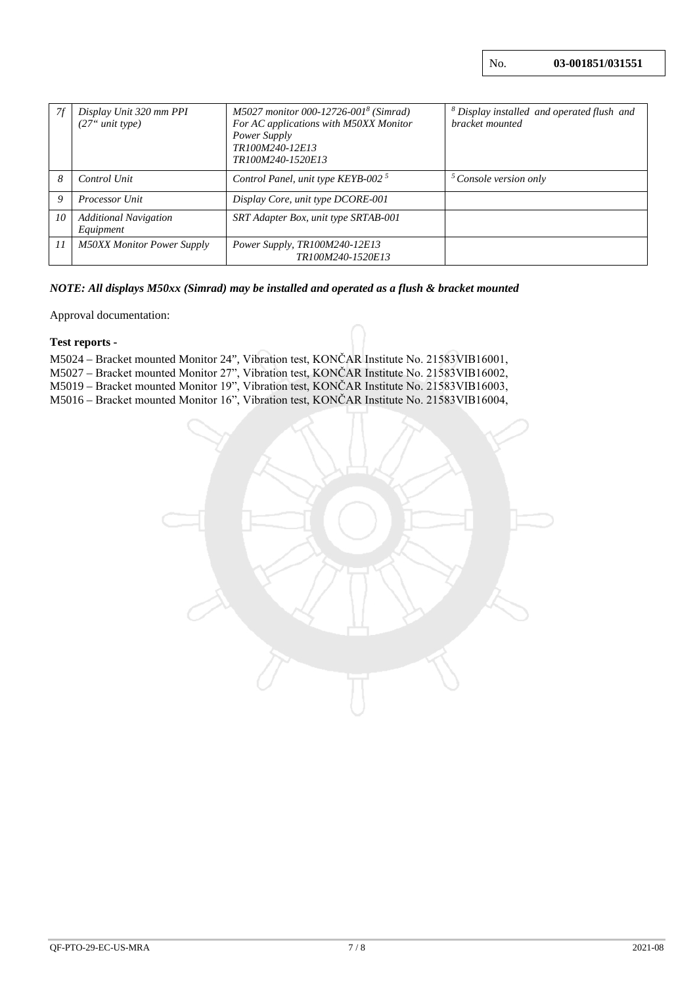| 7f | Display Unit 320 mm PPI<br>(27 <sup>o</sup> unit type) | M5027 monitor 000-12726-001 <sup>8</sup> (Simrad)<br>For AC applications with M50XX Monitor<br>Power Supply<br>TR100M240-12E13<br>TR100M240-1520E13 | <sup>8</sup> Display installed and operated flush and<br>bracket mounted |
|----|--------------------------------------------------------|-----------------------------------------------------------------------------------------------------------------------------------------------------|--------------------------------------------------------------------------|
| 8  | Control Unit                                           | Control Panel, unit type KEYB-002 $^5$                                                                                                              | $5$ Console version only                                                 |
| 9  | <b>Processor Unit</b>                                  | Display Core, unit type DCORE-001                                                                                                                   |                                                                          |
| 10 | <b>Additional Navigation</b><br>Equipment              | SRT Adapter Box, unit type SRTAB-001                                                                                                                |                                                                          |
| 11 | <b>M50XX Monitor Power Supply</b>                      | Power Supply, TR100M240-12E13<br>TR100M240-1520E13                                                                                                  |                                                                          |

# *NOTE: All displays M50xx (Simrad) may be installed and operated as a flush & bracket mounted*

Approval documentation:

### **Test reports -**

| M5024 – Bracket mounted Monitor 24", Vibration test, KONČAR Institute No. 21583VIB16001, |  |
|------------------------------------------------------------------------------------------|--|
| M5027 – Bracket mounted Monitor 27", Vibration test, KONČAR Institute No. 21583VIB16002, |  |
| M5019 – Bracket mounted Monitor 19", Vibration test, KONČAR Institute No. 21583VIB16003, |  |
| M5016 – Bracket mounted Monitor 16", Vibration test, KONČAR Institute No. 21583VIB16004, |  |